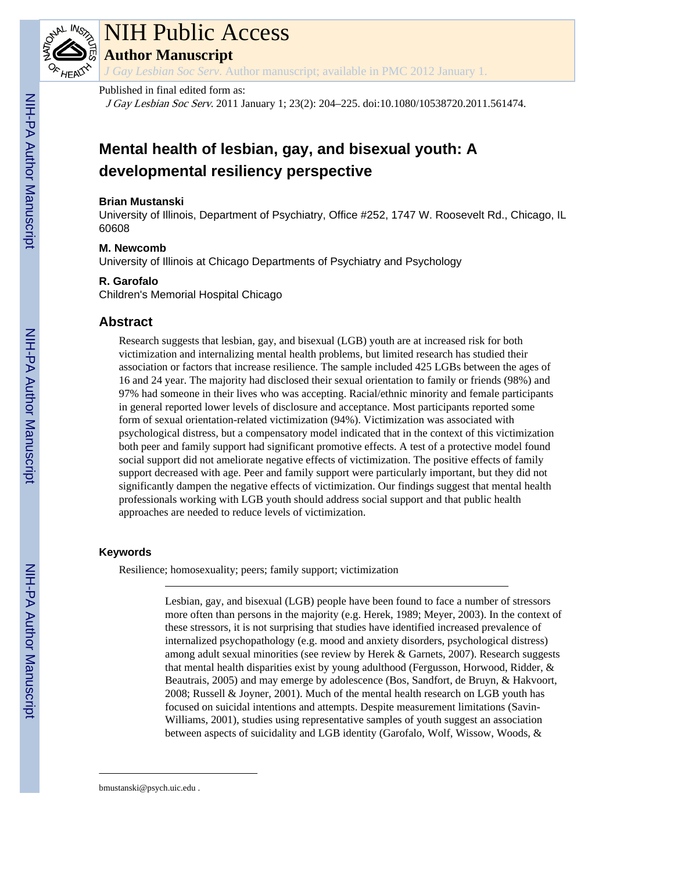

# NIH Public Access

**Author Manuscript**

*J Gay Lesbian Soc Serv*. Author manuscript; available in PMC 2012 January 1.

# Published in final edited form as:

J Gay Lesbian Soc Serv. 2011 January 1; 23(2): 204–225. doi:10.1080/10538720.2011.561474.

# **Mental health of lesbian, gay, and bisexual youth: A developmental resiliency perspective**

## **Brian Mustanski**

University of Illinois, Department of Psychiatry, Office #252, 1747 W. Roosevelt Rd., Chicago, IL 60608

#### **M. Newcomb**

University of Illinois at Chicago Departments of Psychiatry and Psychology

#### **R. Garofalo**

Children's Memorial Hospital Chicago

# **Abstract**

Research suggests that lesbian, gay, and bisexual (LGB) youth are at increased risk for both victimization and internalizing mental health problems, but limited research has studied their association or factors that increase resilience. The sample included 425 LGBs between the ages of 16 and 24 year. The majority had disclosed their sexual orientation to family or friends (98%) and 97% had someone in their lives who was accepting. Racial/ethnic minority and female participants in general reported lower levels of disclosure and acceptance. Most participants reported some form of sexual orientation-related victimization (94%). Victimization was associated with psychological distress, but a compensatory model indicated that in the context of this victimization both peer and family support had significant promotive effects. A test of a protective model found social support did not ameliorate negative effects of victimization. The positive effects of family support decreased with age. Peer and family support were particularly important, but they did not significantly dampen the negative effects of victimization. Our findings suggest that mental health professionals working with LGB youth should address social support and that public health approaches are needed to reduce levels of victimization.

# **Keywords**

Resilience; homosexuality; peers; family support; victimization

Lesbian, gay, and bisexual (LGB) people have been found to face a number of stressors more often than persons in the majority (e.g. Herek, 1989; Meyer, 2003). In the context of these stressors, it is not surprising that studies have identified increased prevalence of internalized psychopathology (e.g. mood and anxiety disorders, psychological distress) among adult sexual minorities (see review by Herek & Garnets, 2007). Research suggests that mental health disparities exist by young adulthood (Fergusson, Horwood, Ridder, & Beautrais, 2005) and may emerge by adolescence (Bos, Sandfort, de Bruyn, & Hakvoort, 2008; Russell & Joyner, 2001). Much of the mental health research on LGB youth has focused on suicidal intentions and attempts. Despite measurement limitations (Savin-Williams, 2001), studies using representative samples of youth suggest an association between aspects of suicidality and LGB identity (Garofalo, Wolf, Wissow, Woods, &

bmustanski@psych.uic.edu .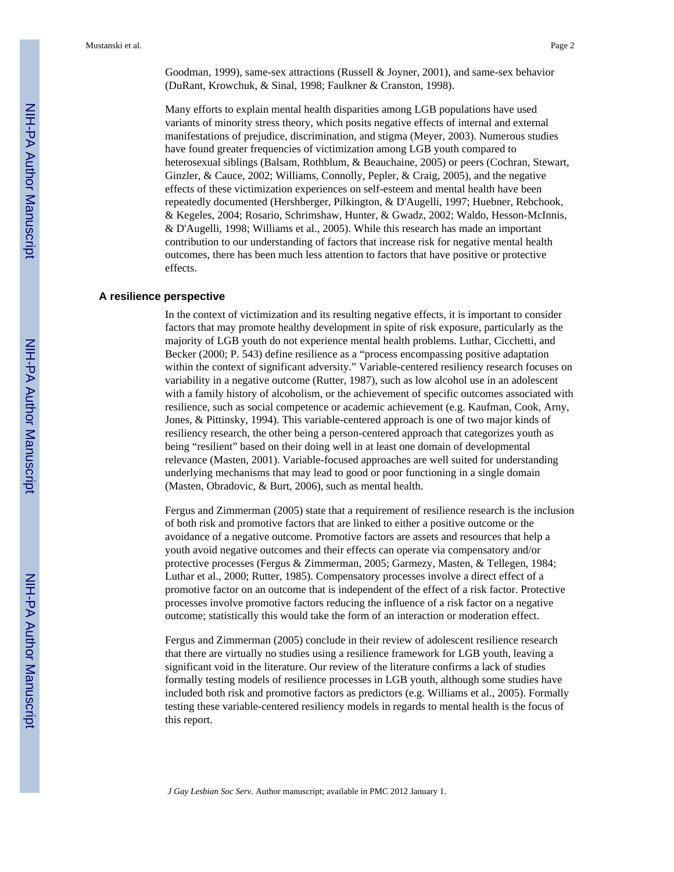Goodman, 1999), same-sex attractions (Russell & Joyner, 2001), and same-sex behavior (DuRant, Krowchuk, & Sinal, 1998; Faulkner & Cranston, 1998).

Many efforts to explain mental health disparities among LGB populations have used variants of minority stress theory, which posits negative effects of internal and external manifestations of prejudice, discrimination, and stigma (Meyer, 2003). Numerous studies have found greater frequencies of victimization among LGB youth compared to heterosexual siblings (Balsam, Rothblum, & Beauchaine, 2005) or peers (Cochran, Stewart, Ginzler, & Cauce, 2002; Williams, Connolly, Pepler, & Craig, 2005), and the negative effects of these victimization experiences on self-esteem and mental health have been repeatedly documented (Hershberger, Pilkington, & D'Augelli, 1997; Huebner, Rebchook, & Kegeles, 2004; Rosario, Schrimshaw, Hunter, & Gwadz, 2002; Waldo, Hesson-McInnis, & D'Augelli, 1998; Williams et al., 2005). While this research has made an important contribution to our understanding of factors that increase risk for negative mental health outcomes, there has been much less attention to factors that have positive or protective effects.

#### **A resilience perspective**

In the context of victimization and its resulting negative effects, it is important to consider factors that may promote healthy development in spite of risk exposure, particularly as the majority of LGB youth do not experience mental health problems. Luthar, Cicchetti, and Becker (2000; P. 543) define resilience as a "process encompassing positive adaptation within the context of significant adversity." Variable-centered resiliency research focuses on variability in a negative outcome (Rutter, 1987), such as low alcohol use in an adolescent with a family history of alcoholism, or the achievement of specific outcomes associated with resilience, such as social competence or academic achievement (e.g. Kaufman, Cook, Arny, Jones, & Pittinsky, 1994). This variable-centered approach is one of two major kinds of resiliency research, the other being a person-centered approach that categorizes youth as being "resilient" based on their doing well in at least one domain of developmental relevance (Masten, 2001). Variable-focused approaches are well suited for understanding underlying mechanisms that may lead to good or poor functioning in a single domain (Masten, Obradovic, & Burt, 2006), such as mental health.

Fergus and Zimmerman (2005) state that a requirement of resilience research is the inclusion of both risk and promotive factors that are linked to either a positive outcome or the avoidance of a negative outcome. Promotive factors are assets and resources that help a youth avoid negative outcomes and their effects can operate via compensatory and/or protective processes (Fergus & Zimmerman, 2005; Garmezy, Masten, & Tellegen, 1984; Luthar et al., 2000; Rutter, 1985). Compensatory processes involve a direct effect of a promotive factor on an outcome that is independent of the effect of a risk factor. Protective processes involve promotive factors reducing the influence of a risk factor on a negative outcome; statistically this would take the form of an interaction or moderation effect.

Fergus and Zimmerman (2005) conclude in their review of adolescent resilience research that there are virtually no studies using a resilience framework for LGB youth, leaving a significant void in the literature. Our review of the literature confirms a lack of studies formally testing models of resilience processes in LGB youth, although some studies have included both risk and promotive factors as predictors (e.g. Williams et al., 2005). Formally testing these variable-centered resiliency models in regards to mental health is the focus of this report.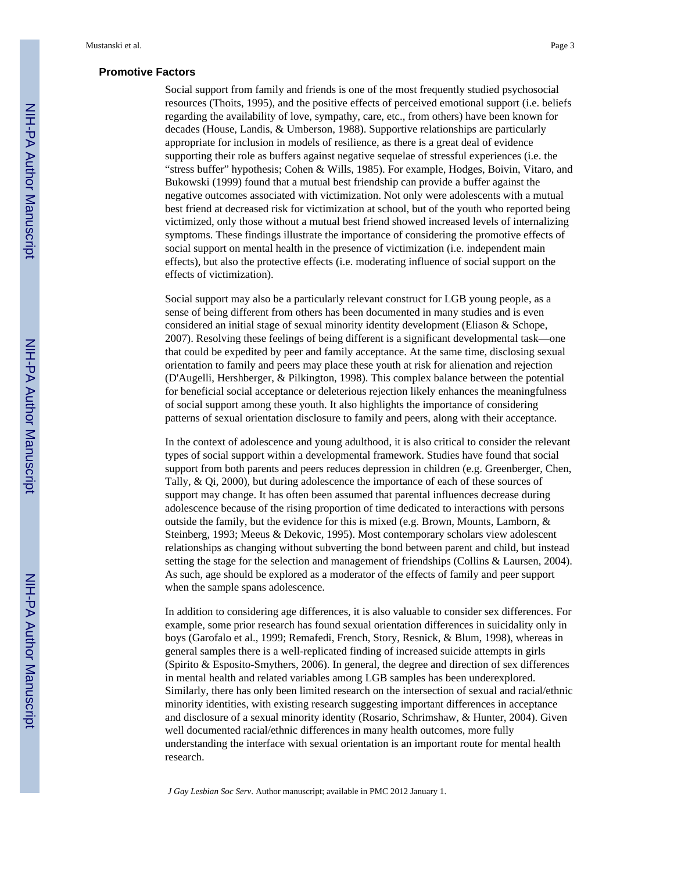#### **Promotive Factors**

Social support from family and friends is one of the most frequently studied psychosocial resources (Thoits, 1995), and the positive effects of perceived emotional support (i.e. beliefs regarding the availability of love, sympathy, care, etc., from others) have been known for decades (House, Landis, & Umberson, 1988). Supportive relationships are particularly appropriate for inclusion in models of resilience, as there is a great deal of evidence supporting their role as buffers against negative sequelae of stressful experiences (i.e. the "stress buffer" hypothesis; Cohen & Wills, 1985). For example, Hodges, Boivin, Vitaro, and Bukowski (1999) found that a mutual best friendship can provide a buffer against the negative outcomes associated with victimization. Not only were adolescents with a mutual best friend at decreased risk for victimization at school, but of the youth who reported being victimized, only those without a mutual best friend showed increased levels of internalizing symptoms. These findings illustrate the importance of considering the promotive effects of social support on mental health in the presence of victimization (i.e. independent main effects), but also the protective effects (i.e. moderating influence of social support on the effects of victimization).

Social support may also be a particularly relevant construct for LGB young people, as a sense of being different from others has been documented in many studies and is even considered an initial stage of sexual minority identity development (Eliason & Schope, 2007). Resolving these feelings of being different is a significant developmental task—one that could be expedited by peer and family acceptance. At the same time, disclosing sexual orientation to family and peers may place these youth at risk for alienation and rejection (D'Augelli, Hershberger, & Pilkington, 1998). This complex balance between the potential for beneficial social acceptance or deleterious rejection likely enhances the meaningfulness of social support among these youth. It also highlights the importance of considering patterns of sexual orientation disclosure to family and peers, along with their acceptance.

In the context of adolescence and young adulthood, it is also critical to consider the relevant types of social support within a developmental framework. Studies have found that social support from both parents and peers reduces depression in children (e.g. Greenberger, Chen, Tally, & Qi, 2000), but during adolescence the importance of each of these sources of support may change. It has often been assumed that parental influences decrease during adolescence because of the rising proportion of time dedicated to interactions with persons outside the family, but the evidence for this is mixed (e.g. Brown, Mounts, Lamborn,  $\&$ Steinberg, 1993; Meeus & Dekovic, 1995). Most contemporary scholars view adolescent relationships as changing without subverting the bond between parent and child, but instead setting the stage for the selection and management of friendships (Collins & Laursen, 2004). As such, age should be explored as a moderator of the effects of family and peer support when the sample spans adolescence.

In addition to considering age differences, it is also valuable to consider sex differences. For example, some prior research has found sexual orientation differences in suicidality only in boys (Garofalo et al., 1999; Remafedi, French, Story, Resnick, & Blum, 1998), whereas in general samples there is a well-replicated finding of increased suicide attempts in girls (Spirito & Esposito-Smythers, 2006). In general, the degree and direction of sex differences in mental health and related variables among LGB samples has been underexplored. Similarly, there has only been limited research on the intersection of sexual and racial/ethnic minority identities, with existing research suggesting important differences in acceptance and disclosure of a sexual minority identity (Rosario, Schrimshaw, & Hunter, 2004). Given well documented racial/ethnic differences in many health outcomes, more fully understanding the interface with sexual orientation is an important route for mental health research.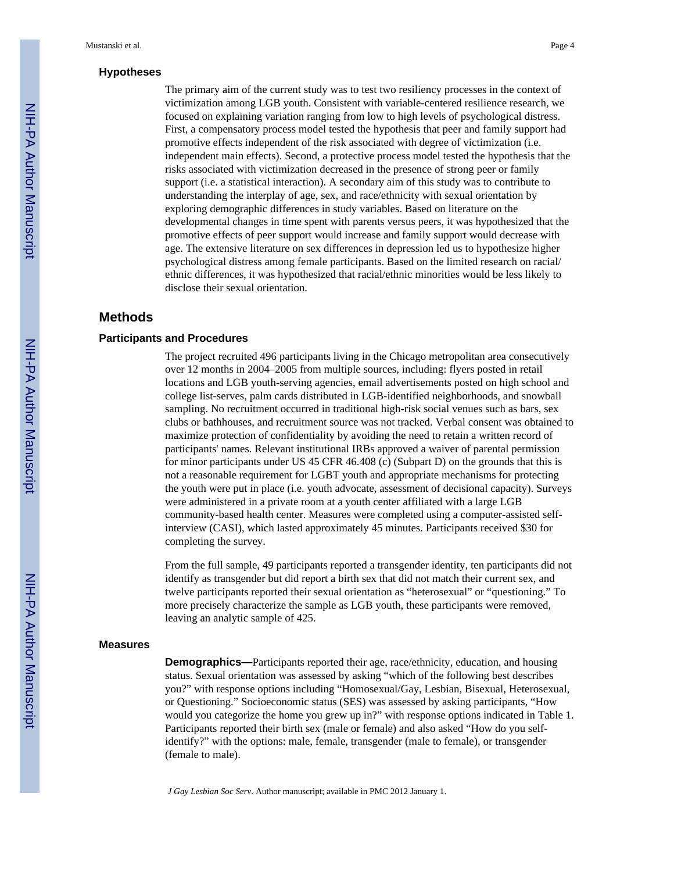#### **Hypotheses**

The primary aim of the current study was to test two resiliency processes in the context of victimization among LGB youth. Consistent with variable-centered resilience research, we focused on explaining variation ranging from low to high levels of psychological distress. First, a compensatory process model tested the hypothesis that peer and family support had promotive effects independent of the risk associated with degree of victimization (i.e. independent main effects). Second, a protective process model tested the hypothesis that the risks associated with victimization decreased in the presence of strong peer or family support (i.e. a statistical interaction). A secondary aim of this study was to contribute to understanding the interplay of age, sex, and race/ethnicity with sexual orientation by exploring demographic differences in study variables. Based on literature on the developmental changes in time spent with parents versus peers, it was hypothesized that the promotive effects of peer support would increase and family support would decrease with age. The extensive literature on sex differences in depression led us to hypothesize higher psychological distress among female participants. Based on the limited research on racial/ ethnic differences, it was hypothesized that racial/ethnic minorities would be less likely to disclose their sexual orientation.

# **Methods**

## **Participants and Procedures**

The project recruited 496 participants living in the Chicago metropolitan area consecutively over 12 months in 2004–2005 from multiple sources, including: flyers posted in retail locations and LGB youth-serving agencies, email advertisements posted on high school and college list-serves, palm cards distributed in LGB-identified neighborhoods, and snowball sampling. No recruitment occurred in traditional high-risk social venues such as bars, sex clubs or bathhouses, and recruitment source was not tracked. Verbal consent was obtained to maximize protection of confidentiality by avoiding the need to retain a written record of participants' names. Relevant institutional IRBs approved a waiver of parental permission for minor participants under US 45 CFR 46.408 (c) (Subpart D) on the grounds that this is not a reasonable requirement for LGBT youth and appropriate mechanisms for protecting the youth were put in place (i.e. youth advocate, assessment of decisional capacity). Surveys were administered in a private room at a youth center affiliated with a large LGB community-based health center. Measures were completed using a computer-assisted selfinterview (CASI), which lasted approximately 45 minutes. Participants received \$30 for completing the survey.

From the full sample, 49 participants reported a transgender identity, ten participants did not identify as transgender but did report a birth sex that did not match their current sex, and twelve participants reported their sexual orientation as "heterosexual" or "questioning." To more precisely characterize the sample as LGB youth, these participants were removed, leaving an analytic sample of 425.

#### **Measures**

**Demographics—**Participants reported their age, race/ethnicity, education, and housing status. Sexual orientation was assessed by asking "which of the following best describes you?" with response options including "Homosexual/Gay, Lesbian, Bisexual, Heterosexual, or Questioning." Socioeconomic status (SES) was assessed by asking participants, "How would you categorize the home you grew up in?" with response options indicated in Table 1. Participants reported their birth sex (male or female) and also asked "How do you selfidentify?" with the options: male, female, transgender (male to female), or transgender (female to male).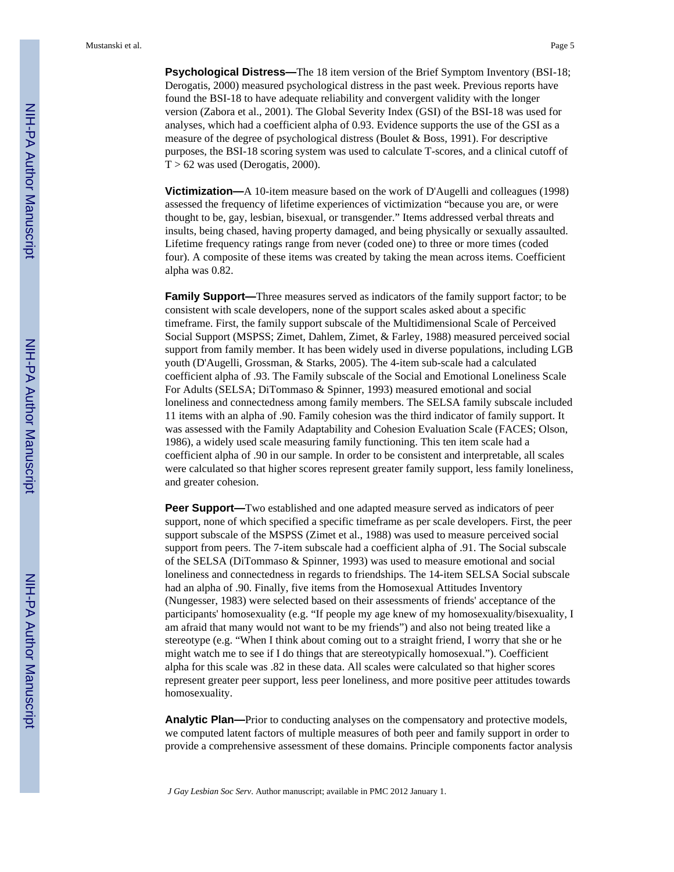**Psychological Distress—**The 18 item version of the Brief Symptom Inventory (BSI-18; Derogatis, 2000) measured psychological distress in the past week. Previous reports have found the BSI-18 to have adequate reliability and convergent validity with the longer version (Zabora et al., 2001). The Global Severity Index (GSI) of the BSI-18 was used for analyses, which had a coefficient alpha of 0.93. Evidence supports the use of the GSI as a measure of the degree of psychological distress (Boulet & Boss, 1991). For descriptive purposes, the BSI-18 scoring system was used to calculate T-scores, and a clinical cutoff of  $T > 62$  was used (Derogatis, 2000).

**Victimization—**A 10-item measure based on the work of D'Augelli and colleagues (1998) assessed the frequency of lifetime experiences of victimization "because you are, or were thought to be, gay, lesbian, bisexual, or transgender." Items addressed verbal threats and insults, being chased, having property damaged, and being physically or sexually assaulted. Lifetime frequency ratings range from never (coded one) to three or more times (coded four). A composite of these items was created by taking the mean across items. Coefficient alpha was 0.82.

**Family Support—**Three measures served as indicators of the family support factor; to be consistent with scale developers, none of the support scales asked about a specific timeframe. First, the family support subscale of the Multidimensional Scale of Perceived Social Support (MSPSS; Zimet, Dahlem, Zimet, & Farley, 1988) measured perceived social support from family member. It has been widely used in diverse populations, including LGB youth (D'Augelli, Grossman, & Starks, 2005). The 4-item sub-scale had a calculated coefficient alpha of .93. The Family subscale of the Social and Emotional Loneliness Scale For Adults (SELSA; DiTommaso & Spinner, 1993) measured emotional and social loneliness and connectedness among family members. The SELSA family subscale included 11 items with an alpha of .90. Family cohesion was the third indicator of family support. It was assessed with the Family Adaptability and Cohesion Evaluation Scale (FACES; Olson, 1986), a widely used scale measuring family functioning. This ten item scale had a coefficient alpha of .90 in our sample. In order to be consistent and interpretable, all scales were calculated so that higher scores represent greater family support, less family loneliness, and greater cohesion.

**Peer Support—**Two established and one adapted measure served as indicators of peer support, none of which specified a specific timeframe as per scale developers. First, the peer support subscale of the MSPSS (Zimet et al., 1988) was used to measure perceived social support from peers. The 7-item subscale had a coefficient alpha of .91. The Social subscale of the SELSA (DiTommaso & Spinner, 1993) was used to measure emotional and social loneliness and connectedness in regards to friendships. The 14-item SELSA Social subscale had an alpha of .90. Finally, five items from the Homosexual Attitudes Inventory (Nungesser, 1983) were selected based on their assessments of friends' acceptance of the participants' homosexuality (e.g. "If people my age knew of my homosexuality/bisexuality, I am afraid that many would not want to be my friends") and also not being treated like a stereotype (e.g. "When I think about coming out to a straight friend, I worry that she or he might watch me to see if I do things that are stereotypically homosexual."). Coefficient alpha for this scale was .82 in these data. All scales were calculated so that higher scores represent greater peer support, less peer loneliness, and more positive peer attitudes towards homosexuality.

**Analytic Plan—**Prior to conducting analyses on the compensatory and protective models, we computed latent factors of multiple measures of both peer and family support in order to provide a comprehensive assessment of these domains. Principle components factor analysis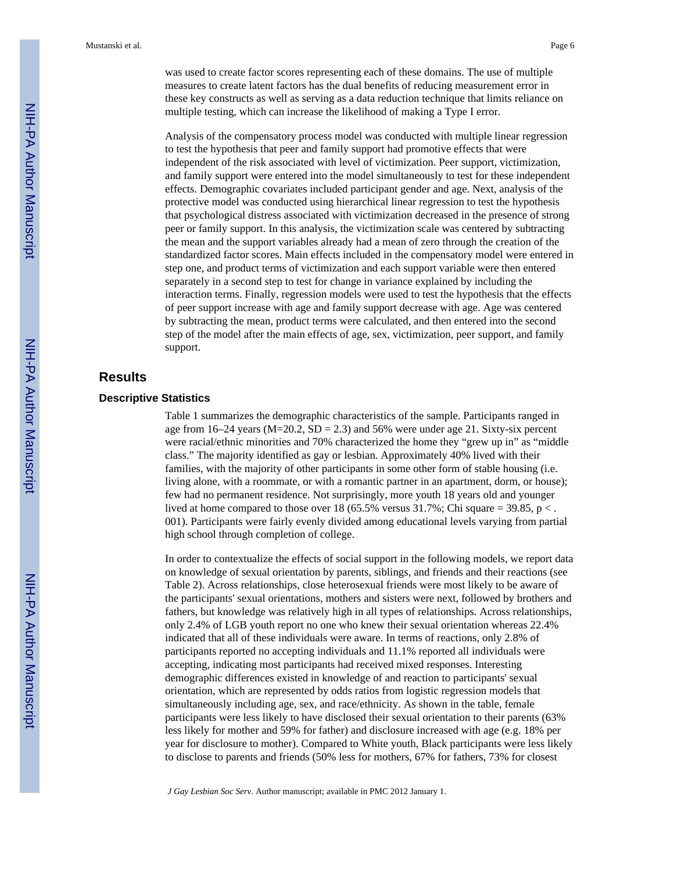was used to create factor scores representing each of these domains. The use of multiple measures to create latent factors has the dual benefits of reducing measurement error in these key constructs as well as serving as a data reduction technique that limits reliance on multiple testing, which can increase the likelihood of making a Type I error.

Analysis of the compensatory process model was conducted with multiple linear regression to test the hypothesis that peer and family support had promotive effects that were independent of the risk associated with level of victimization. Peer support, victimization, and family support were entered into the model simultaneously to test for these independent effects. Demographic covariates included participant gender and age. Next, analysis of the protective model was conducted using hierarchical linear regression to test the hypothesis that psychological distress associated with victimization decreased in the presence of strong peer or family support. In this analysis, the victimization scale was centered by subtracting the mean and the support variables already had a mean of zero through the creation of the standardized factor scores. Main effects included in the compensatory model were entered in step one, and product terms of victimization and each support variable were then entered separately in a second step to test for change in variance explained by including the interaction terms. Finally, regression models were used to test the hypothesis that the effects of peer support increase with age and family support decrease with age. Age was centered by subtracting the mean, product terms were calculated, and then entered into the second step of the model after the main effects of age, sex, victimization, peer support, and family support.

# **Results**

#### **Descriptive Statistics**

Table 1 summarizes the demographic characteristics of the sample. Participants ranged in age from 16–24 years (M=20.2, SD = 2.3) and 56% were under age 21. Sixty-six percent were racial/ethnic minorities and 70% characterized the home they "grew up in" as "middle class." The majority identified as gay or lesbian. Approximately 40% lived with their families, with the majority of other participants in some other form of stable housing (i.e. living alone, with a roommate, or with a romantic partner in an apartment, dorm, or house); few had no permanent residence. Not surprisingly, more youth 18 years old and younger lived at home compared to those over 18 (65.5% versus 31.7%; Chi square = 39.85, p  $\lt$ . 001). Participants were fairly evenly divided among educational levels varying from partial high school through completion of college.

In order to contextualize the effects of social support in the following models, we report data on knowledge of sexual orientation by parents, siblings, and friends and their reactions (see Table 2). Across relationships, close heterosexual friends were most likely to be aware of the participants' sexual orientations, mothers and sisters were next, followed by brothers and fathers, but knowledge was relatively high in all types of relationships. Across relationships, only 2.4% of LGB youth report no one who knew their sexual orientation whereas 22.4% indicated that all of these individuals were aware. In terms of reactions, only 2.8% of participants reported no accepting individuals and 11.1% reported all individuals were accepting, indicating most participants had received mixed responses. Interesting demographic differences existed in knowledge of and reaction to participants' sexual orientation, which are represented by odds ratios from logistic regression models that simultaneously including age, sex, and race/ethnicity. As shown in the table, female participants were less likely to have disclosed their sexual orientation to their parents (63% less likely for mother and 59% for father) and disclosure increased with age (e.g. 18% per year for disclosure to mother). Compared to White youth, Black participants were less likely to disclose to parents and friends (50% less for mothers, 67% for fathers, 73% for closest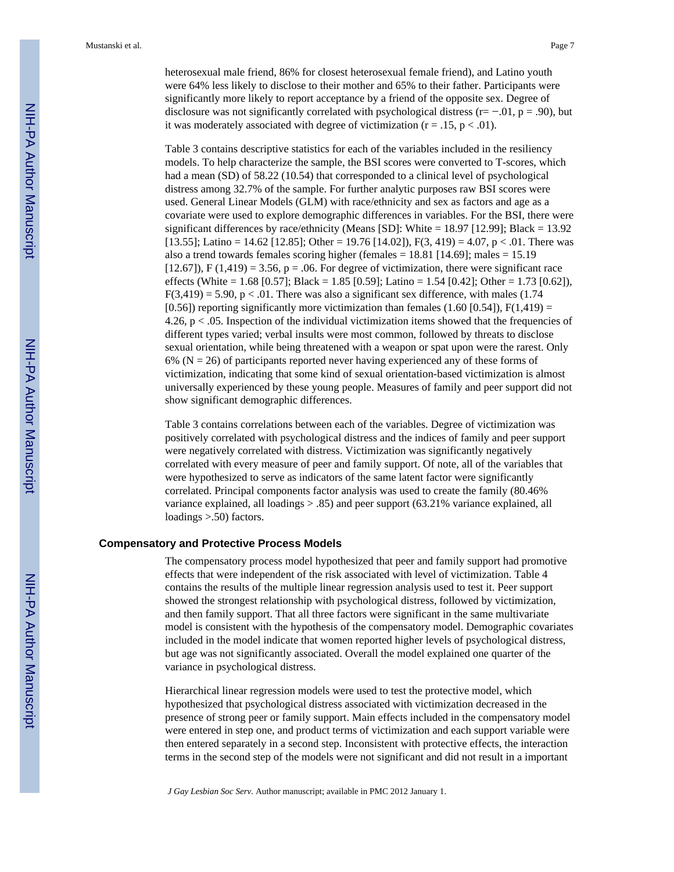heterosexual male friend, 86% for closest heterosexual female friend), and Latino youth were 64% less likely to disclose to their mother and 65% to their father. Participants were significantly more likely to report acceptance by a friend of the opposite sex. Degree of disclosure was not significantly correlated with psychological distress ( $r = -0.01$ ,  $p = 0.90$ ), but it was moderately associated with degree of victimization ( $r = .15$ ,  $p < .01$ ).

Table 3 contains descriptive statistics for each of the variables included in the resiliency models. To help characterize the sample, the BSI scores were converted to T-scores, which had a mean (SD) of 58.22 (10.54) that corresponded to a clinical level of psychological distress among 32.7% of the sample. For further analytic purposes raw BSI scores were used. General Linear Models (GLM) with race/ethnicity and sex as factors and age as a covariate were used to explore demographic differences in variables. For the BSI, there were significant differences by race/ethnicity (Means [SD]: White = 18.97 [12.99]; Black = 13.92 [13.55]; Latino = 14.62 [12.85]; Other = 19.76 [14.02]),  $F(3, 419) = 4.07$ , p < .01. There was also a trend towards females scoring higher (females = 18.81 [14.69]; males = 15.19  $[12.67]$ , F  $(1,419) = 3.56$ , p = .06. For degree of victimization, there were significant race effects (White = 1.68 [0.57]; Black = 1.85 [0.59]; Latino = 1.54 [0.42]; Other = 1.73 [0.62]),  $F(3,419) = 5.90$ ,  $p < .01$ . There was also a significant sex difference, with males (1.74)  $[0.56]$ ) reporting significantly more victimization than females (1.60 [0.54]),  $F(1,419) =$ 4.26,  $p < .05$ . Inspection of the individual victimization items showed that the frequencies of different types varied; verbal insults were most common, followed by threats to disclose sexual orientation, while being threatened with a weapon or spat upon were the rarest. Only  $6\%$  (N = 26) of participants reported never having experienced any of these forms of victimization, indicating that some kind of sexual orientation-based victimization is almost universally experienced by these young people. Measures of family and peer support did not show significant demographic differences.

Table 3 contains correlations between each of the variables. Degree of victimization was positively correlated with psychological distress and the indices of family and peer support were negatively correlated with distress. Victimization was significantly negatively correlated with every measure of peer and family support. Of note, all of the variables that were hypothesized to serve as indicators of the same latent factor were significantly correlated. Principal components factor analysis was used to create the family (80.46% variance explained, all loadings > .85) and peer support (63.21% variance explained, all loadings  $> 0.50$  factors.

#### **Compensatory and Protective Process Models**

The compensatory process model hypothesized that peer and family support had promotive effects that were independent of the risk associated with level of victimization. Table 4 contains the results of the multiple linear regression analysis used to test it. Peer support showed the strongest relationship with psychological distress, followed by victimization, and then family support. That all three factors were significant in the same multivariate model is consistent with the hypothesis of the compensatory model. Demographic covariates included in the model indicate that women reported higher levels of psychological distress, but age was not significantly associated. Overall the model explained one quarter of the variance in psychological distress.

Hierarchical linear regression models were used to test the protective model, which hypothesized that psychological distress associated with victimization decreased in the presence of strong peer or family support. Main effects included in the compensatory model were entered in step one, and product terms of victimization and each support variable were then entered separately in a second step. Inconsistent with protective effects, the interaction terms in the second step of the models were not significant and did not result in a important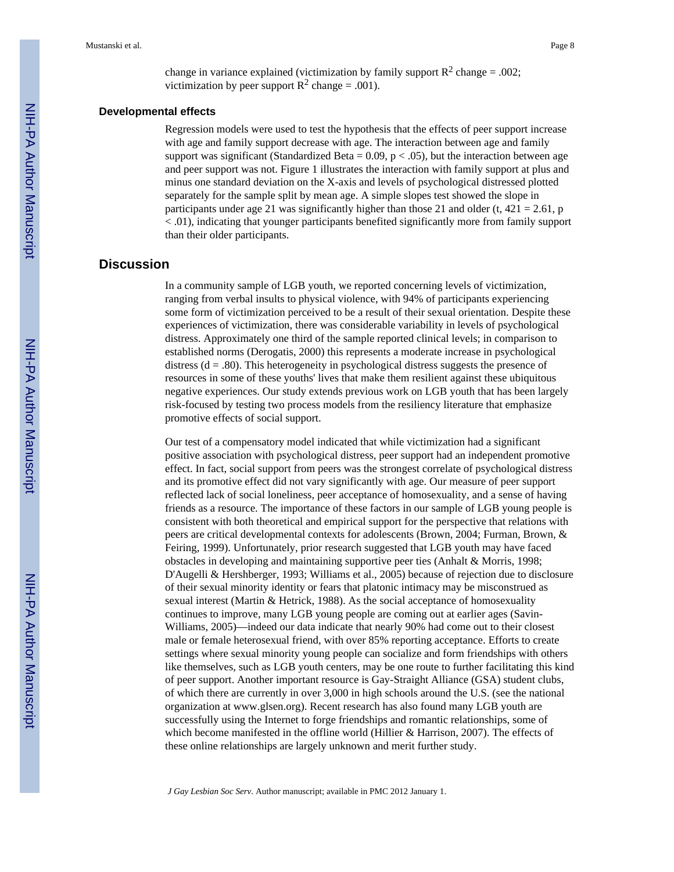change in variance explained (victimization by family support  $R^2$  change = .002; victimization by peer support  $R^2$  change = .001).

#### **Developmental effects**

Regression models were used to test the hypothesis that the effects of peer support increase with age and family support decrease with age. The interaction between age and family support was significant (Standardized Beta =  $0.09$ , p <  $0.05$ ), but the interaction between age and peer support was not. Figure 1 illustrates the interaction with family support at plus and minus one standard deviation on the X-axis and levels of psychological distressed plotted separately for the sample split by mean age. A simple slopes test showed the slope in participants under age 21 was significantly higher than those 21 and older (t,  $421 = 2.61$ , p < .01), indicating that younger participants benefited significantly more from family support than their older participants.

# **Discussion**

In a community sample of LGB youth, we reported concerning levels of victimization, ranging from verbal insults to physical violence, with 94% of participants experiencing some form of victimization perceived to be a result of their sexual orientation. Despite these experiences of victimization, there was considerable variability in levels of psychological distress. Approximately one third of the sample reported clinical levels; in comparison to established norms (Derogatis, 2000) this represents a moderate increase in psychological distress  $(d = .80)$ . This heterogeneity in psychological distress suggests the presence of resources in some of these youths' lives that make them resilient against these ubiquitous negative experiences. Our study extends previous work on LGB youth that has been largely risk-focused by testing two process models from the resiliency literature that emphasize promotive effects of social support.

Our test of a compensatory model indicated that while victimization had a significant positive association with psychological distress, peer support had an independent promotive effect. In fact, social support from peers was the strongest correlate of psychological distress and its promotive effect did not vary significantly with age. Our measure of peer support reflected lack of social loneliness, peer acceptance of homosexuality, and a sense of having friends as a resource. The importance of these factors in our sample of LGB young people is consistent with both theoretical and empirical support for the perspective that relations with peers are critical developmental contexts for adolescents (Brown, 2004; Furman, Brown, & Feiring, 1999). Unfortunately, prior research suggested that LGB youth may have faced obstacles in developing and maintaining supportive peer ties (Anhalt & Morris, 1998; D'Augelli & Hershberger, 1993; Williams et al., 2005) because of rejection due to disclosure of their sexual minority identity or fears that platonic intimacy may be misconstrued as sexual interest (Martin & Hetrick, 1988). As the social acceptance of homosexuality continues to improve, many LGB young people are coming out at earlier ages (Savin-Williams, 2005)—indeed our data indicate that nearly 90% had come out to their closest male or female heterosexual friend, with over 85% reporting acceptance. Efforts to create settings where sexual minority young people can socialize and form friendships with others like themselves, such as LGB youth centers, may be one route to further facilitating this kind of peer support. Another important resource is Gay-Straight Alliance (GSA) student clubs, of which there are currently in over 3,000 in high schools around the U.S. (see the national organization at [www.glsen.org](http://www.glsen.org)). Recent research has also found many LGB youth are successfully using the Internet to forge friendships and romantic relationships, some of which become manifested in the offline world (Hillier & Harrison, 2007). The effects of these online relationships are largely unknown and merit further study.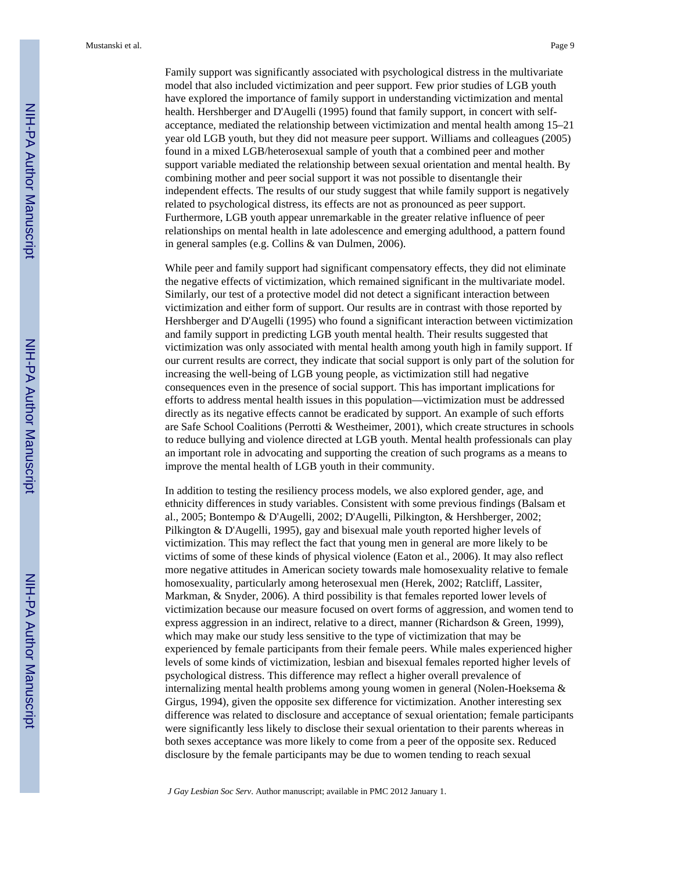Mustanski et al. Page 9

Family support was significantly associated with psychological distress in the multivariate model that also included victimization and peer support. Few prior studies of LGB youth have explored the importance of family support in understanding victimization and mental health. Hershberger and D'Augelli (1995) found that family support, in concert with selfacceptance, mediated the relationship between victimization and mental health among 15–21 year old LGB youth, but they did not measure peer support. Williams and colleagues (2005) found in a mixed LGB/heterosexual sample of youth that a combined peer and mother support variable mediated the relationship between sexual orientation and mental health. By combining mother and peer social support it was not possible to disentangle their independent effects. The results of our study suggest that while family support is negatively related to psychological distress, its effects are not as pronounced as peer support. Furthermore, LGB youth appear unremarkable in the greater relative influence of peer relationships on mental health in late adolescence and emerging adulthood, a pattern found in general samples (e.g. Collins & van Dulmen, 2006).

While peer and family support had significant compensatory effects, they did not eliminate the negative effects of victimization, which remained significant in the multivariate model. Similarly, our test of a protective model did not detect a significant interaction between victimization and either form of support. Our results are in contrast with those reported by Hershberger and D'Augelli (1995) who found a significant interaction between victimization and family support in predicting LGB youth mental health. Their results suggested that victimization was only associated with mental health among youth high in family support. If our current results are correct, they indicate that social support is only part of the solution for increasing the well-being of LGB young people, as victimization still had negative consequences even in the presence of social support. This has important implications for efforts to address mental health issues in this population—victimization must be addressed directly as its negative effects cannot be eradicated by support. An example of such efforts are Safe School Coalitions (Perrotti & Westheimer, 2001), which create structures in schools to reduce bullying and violence directed at LGB youth. Mental health professionals can play an important role in advocating and supporting the creation of such programs as a means to improve the mental health of LGB youth in their community.

In addition to testing the resiliency process models, we also explored gender, age, and ethnicity differences in study variables. Consistent with some previous findings (Balsam et al., 2005; Bontempo & D'Augelli, 2002; D'Augelli, Pilkington, & Hershberger, 2002; Pilkington & D'Augelli, 1995), gay and bisexual male youth reported higher levels of victimization. This may reflect the fact that young men in general are more likely to be victims of some of these kinds of physical violence (Eaton et al., 2006). It may also reflect more negative attitudes in American society towards male homosexuality relative to female homosexuality, particularly among heterosexual men (Herek, 2002; Ratcliff, Lassiter, Markman, & Snyder, 2006). A third possibility is that females reported lower levels of victimization because our measure focused on overt forms of aggression, and women tend to express aggression in an indirect, relative to a direct, manner (Richardson & Green, 1999), which may make our study less sensitive to the type of victimization that may be experienced by female participants from their female peers. While males experienced higher levels of some kinds of victimization, lesbian and bisexual females reported higher levels of psychological distress. This difference may reflect a higher overall prevalence of internalizing mental health problems among young women in general (Nolen-Hoeksema & Girgus, 1994), given the opposite sex difference for victimization. Another interesting sex difference was related to disclosure and acceptance of sexual orientation; female participants were significantly less likely to disclose their sexual orientation to their parents whereas in both sexes acceptance was more likely to come from a peer of the opposite sex. Reduced disclosure by the female participants may be due to women tending to reach sexual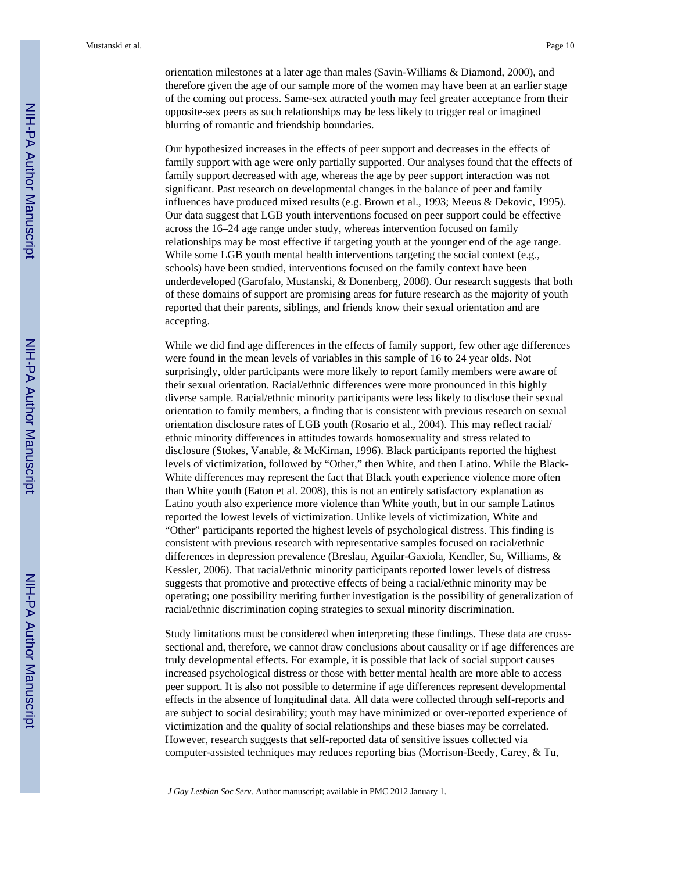orientation milestones at a later age than males (Savin-Williams & Diamond, 2000), and therefore given the age of our sample more of the women may have been at an earlier stage of the coming out process. Same-sex attracted youth may feel greater acceptance from their opposite-sex peers as such relationships may be less likely to trigger real or imagined blurring of romantic and friendship boundaries.

Our hypothesized increases in the effects of peer support and decreases in the effects of family support with age were only partially supported. Our analyses found that the effects of family support decreased with age, whereas the age by peer support interaction was not significant. Past research on developmental changes in the balance of peer and family influences have produced mixed results (e.g. Brown et al., 1993; Meeus & Dekovic, 1995). Our data suggest that LGB youth interventions focused on peer support could be effective across the 16–24 age range under study, whereas intervention focused on family relationships may be most effective if targeting youth at the younger end of the age range. While some LGB youth mental health interventions targeting the social context (e.g., schools) have been studied, interventions focused on the family context have been underdeveloped (Garofalo, Mustanski, & Donenberg, 2008). Our research suggests that both of these domains of support are promising areas for future research as the majority of youth reported that their parents, siblings, and friends know their sexual orientation and are accepting.

While we did find age differences in the effects of family support, few other age differences were found in the mean levels of variables in this sample of 16 to 24 year olds. Not surprisingly, older participants were more likely to report family members were aware of their sexual orientation. Racial/ethnic differences were more pronounced in this highly diverse sample. Racial/ethnic minority participants were less likely to disclose their sexual orientation to family members, a finding that is consistent with previous research on sexual orientation disclosure rates of LGB youth (Rosario et al., 2004). This may reflect racial/ ethnic minority differences in attitudes towards homosexuality and stress related to disclosure (Stokes, Vanable, & McKirnan, 1996). Black participants reported the highest levels of victimization, followed by "Other," then White, and then Latino. While the Black-White differences may represent the fact that Black youth experience violence more often than White youth (Eaton et al. 2008), this is not an entirely satisfactory explanation as Latino youth also experience more violence than White youth, but in our sample Latinos reported the lowest levels of victimization. Unlike levels of victimization, White and "Other" participants reported the highest levels of psychological distress. This finding is consistent with previous research with representative samples focused on racial/ethnic differences in depression prevalence (Breslau, Aguilar-Gaxiola, Kendler, Su, Williams, & Kessler, 2006). That racial/ethnic minority participants reported lower levels of distress suggests that promotive and protective effects of being a racial/ethnic minority may be operating; one possibility meriting further investigation is the possibility of generalization of racial/ethnic discrimination coping strategies to sexual minority discrimination.

Study limitations must be considered when interpreting these findings. These data are crosssectional and, therefore, we cannot draw conclusions about causality or if age differences are truly developmental effects. For example, it is possible that lack of social support causes increased psychological distress or those with better mental health are more able to access peer support. It is also not possible to determine if age differences represent developmental effects in the absence of longitudinal data. All data were collected through self-reports and are subject to social desirability; youth may have minimized or over-reported experience of victimization and the quality of social relationships and these biases may be correlated. However, research suggests that self-reported data of sensitive issues collected via computer-assisted techniques may reduces reporting bias (Morrison-Beedy, Carey, & Tu,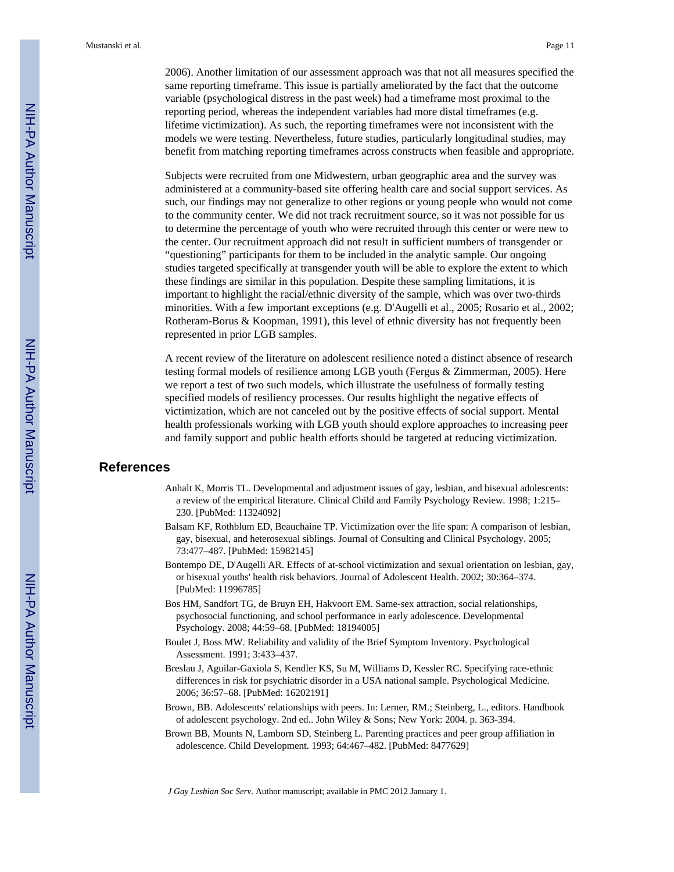2006). Another limitation of our assessment approach was that not all measures specified the same reporting timeframe. This issue is partially ameliorated by the fact that the outcome variable (psychological distress in the past week) had a timeframe most proximal to the reporting period, whereas the independent variables had more distal timeframes (e.g. lifetime victimization). As such, the reporting timeframes were not inconsistent with the models we were testing. Nevertheless, future studies, particularly longitudinal studies, may benefit from matching reporting timeframes across constructs when feasible and appropriate.

Subjects were recruited from one Midwestern, urban geographic area and the survey was administered at a community-based site offering health care and social support services. As such, our findings may not generalize to other regions or young people who would not come to the community center. We did not track recruitment source, so it was not possible for us to determine the percentage of youth who were recruited through this center or were new to the center. Our recruitment approach did not result in sufficient numbers of transgender or "questioning" participants for them to be included in the analytic sample. Our ongoing studies targeted specifically at transgender youth will be able to explore the extent to which these findings are similar in this population. Despite these sampling limitations, it is important to highlight the racial/ethnic diversity of the sample, which was over two-thirds minorities. With a few important exceptions (e.g. D'Augelli et al., 2005; Rosario et al., 2002; Rotheram-Borus & Koopman, 1991), this level of ethnic diversity has not frequently been represented in prior LGB samples.

A recent review of the literature on adolescent resilience noted a distinct absence of research testing formal models of resilience among LGB youth (Fergus & Zimmerman, 2005). Here we report a test of two such models, which illustrate the usefulness of formally testing specified models of resiliency processes. Our results highlight the negative effects of victimization, which are not canceled out by the positive effects of social support. Mental health professionals working with LGB youth should explore approaches to increasing peer and family support and public health efforts should be targeted at reducing victimization.

# **References**

- Anhalt K, Morris TL. Developmental and adjustment issues of gay, lesbian, and bisexual adolescents: a review of the empirical literature. Clinical Child and Family Psychology Review. 1998; 1:215– 230. [PubMed: 11324092]
- Balsam KF, Rothblum ED, Beauchaine TP. Victimization over the life span: A comparison of lesbian, gay, bisexual, and heterosexual siblings. Journal of Consulting and Clinical Psychology. 2005; 73:477–487. [PubMed: 15982145]
- Bontempo DE, D'Augelli AR. Effects of at-school victimization and sexual orientation on lesbian, gay, or bisexual youths' health risk behaviors. Journal of Adolescent Health. 2002; 30:364–374. [PubMed: 11996785]
- Bos HM, Sandfort TG, de Bruyn EH, Hakvoort EM. Same-sex attraction, social relationships, psychosocial functioning, and school performance in early adolescence. Developmental Psychology. 2008; 44:59–68. [PubMed: 18194005]
- Boulet J, Boss MW. Reliability and validity of the Brief Symptom Inventory. Psychological Assessment. 1991; 3:433–437.
- Breslau J, Aguilar-Gaxiola S, Kendler KS, Su M, Williams D, Kessler RC. Specifying race-ethnic differences in risk for psychiatric disorder in a USA national sample. Psychological Medicine. 2006; 36:57–68. [PubMed: 16202191]
- Brown, BB. Adolescents' relationships with peers. In: Lerner, RM.; Steinberg, L., editors. Handbook of adolescent psychology. 2nd ed.. John Wiley & Sons; New York: 2004. p. 363-394.
- Brown BB, Mounts N, Lamborn SD, Steinberg L. Parenting practices and peer group affiliation in adolescence. Child Development. 1993; 64:467–482. [PubMed: 8477629]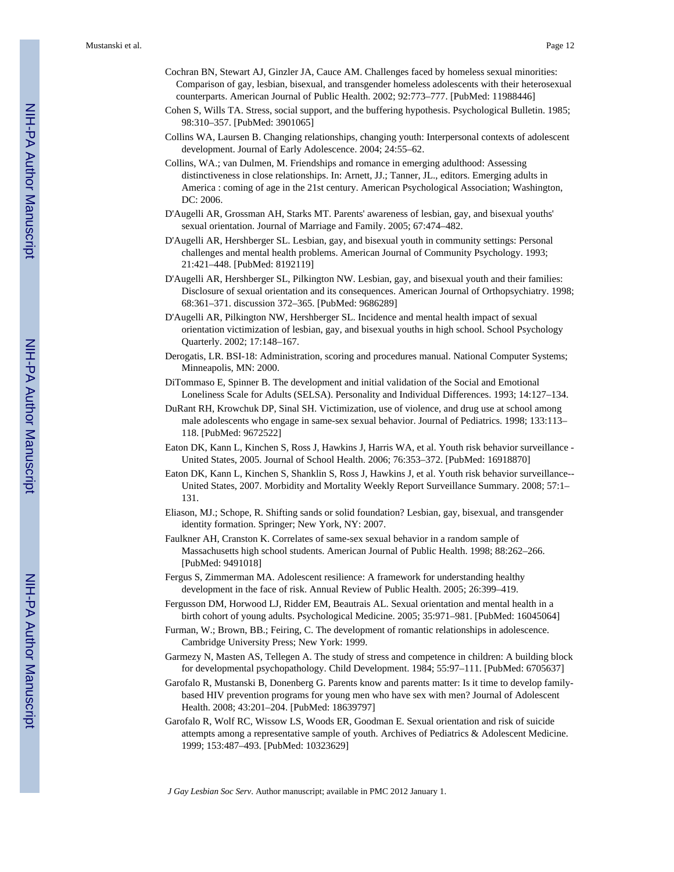- Cochran BN, Stewart AJ, Ginzler JA, Cauce AM. Challenges faced by homeless sexual minorities: Comparison of gay, lesbian, bisexual, and transgender homeless adolescents with their heterosexual counterparts. American Journal of Public Health. 2002; 92:773–777. [PubMed: 11988446]
- Cohen S, Wills TA. Stress, social support, and the buffering hypothesis. Psychological Bulletin. 1985; 98:310–357. [PubMed: 3901065]
- Collins WA, Laursen B. Changing relationships, changing youth: Interpersonal contexts of adolescent development. Journal of Early Adolescence. 2004; 24:55–62.
- Collins, WA.; van Dulmen, M. Friendships and romance in emerging adulthood: Assessing distinctiveness in close relationships. In: Arnett, JJ.; Tanner, JL., editors. Emerging adults in America : coming of age in the 21st century. American Psychological Association; Washington, DC: 2006.
- D'Augelli AR, Grossman AH, Starks MT. Parents' awareness of lesbian, gay, and bisexual youths' sexual orientation. Journal of Marriage and Family. 2005; 67:474–482.
- D'Augelli AR, Hershberger SL. Lesbian, gay, and bisexual youth in community settings: Personal challenges and mental health problems. American Journal of Community Psychology. 1993; 21:421–448. [PubMed: 8192119]
- D'Augelli AR, Hershberger SL, Pilkington NW. Lesbian, gay, and bisexual youth and their families: Disclosure of sexual orientation and its consequences. American Journal of Orthopsychiatry. 1998; 68:361–371. discussion 372–365. [PubMed: 9686289]
- D'Augelli AR, Pilkington NW, Hershberger SL. Incidence and mental health impact of sexual orientation victimization of lesbian, gay, and bisexual youths in high school. School Psychology Quarterly. 2002; 17:148–167.
- Derogatis, LR. BSI-18: Administration, scoring and procedures manual. National Computer Systems; Minneapolis, MN: 2000.
- DiTommaso E, Spinner B. The development and initial validation of the Social and Emotional Loneliness Scale for Adults (SELSA). Personality and Individual Differences. 1993; 14:127–134.
- DuRant RH, Krowchuk DP, Sinal SH. Victimization, use of violence, and drug use at school among male adolescents who engage in same-sex sexual behavior. Journal of Pediatrics. 1998; 133:113– 118. [PubMed: 9672522]
- Eaton DK, Kann L, Kinchen S, Ross J, Hawkins J, Harris WA, et al. Youth risk behavior surveillance United States, 2005. Journal of School Health. 2006; 76:353–372. [PubMed: 16918870]
- Eaton DK, Kann L, Kinchen S, Shanklin S, Ross J, Hawkins J, et al. Youth risk behavior surveillance-- United States, 2007. Morbidity and Mortality Weekly Report Surveillance Summary. 2008; 57:1– 131.
- Eliason, MJ.; Schope, R. Shifting sands or solid foundation? Lesbian, gay, bisexual, and transgender identity formation. Springer; New York, NY: 2007.
- Faulkner AH, Cranston K. Correlates of same-sex sexual behavior in a random sample of Massachusetts high school students. American Journal of Public Health. 1998; 88:262–266. [PubMed: 9491018]
- Fergus S, Zimmerman MA. Adolescent resilience: A framework for understanding healthy development in the face of risk. Annual Review of Public Health. 2005; 26:399–419.
- Fergusson DM, Horwood LJ, Ridder EM, Beautrais AL. Sexual orientation and mental health in a birth cohort of young adults. Psychological Medicine. 2005; 35:971–981. [PubMed: 16045064]
- Furman, W.; Brown, BB.; Feiring, C. The development of romantic relationships in adolescence. Cambridge University Press; New York: 1999.
- Garmezy N, Masten AS, Tellegen A. The study of stress and competence in children: A building block for developmental psychopathology. Child Development. 1984; 55:97–111. [PubMed: 6705637]
- Garofalo R, Mustanski B, Donenberg G. Parents know and parents matter: Is it time to develop familybased HIV prevention programs for young men who have sex with men? Journal of Adolescent Health. 2008; 43:201–204. [PubMed: 18639797]
- Garofalo R, Wolf RC, Wissow LS, Woods ER, Goodman E. Sexual orientation and risk of suicide attempts among a representative sample of youth. Archives of Pediatrics & Adolescent Medicine. 1999; 153:487–493. [PubMed: 10323629]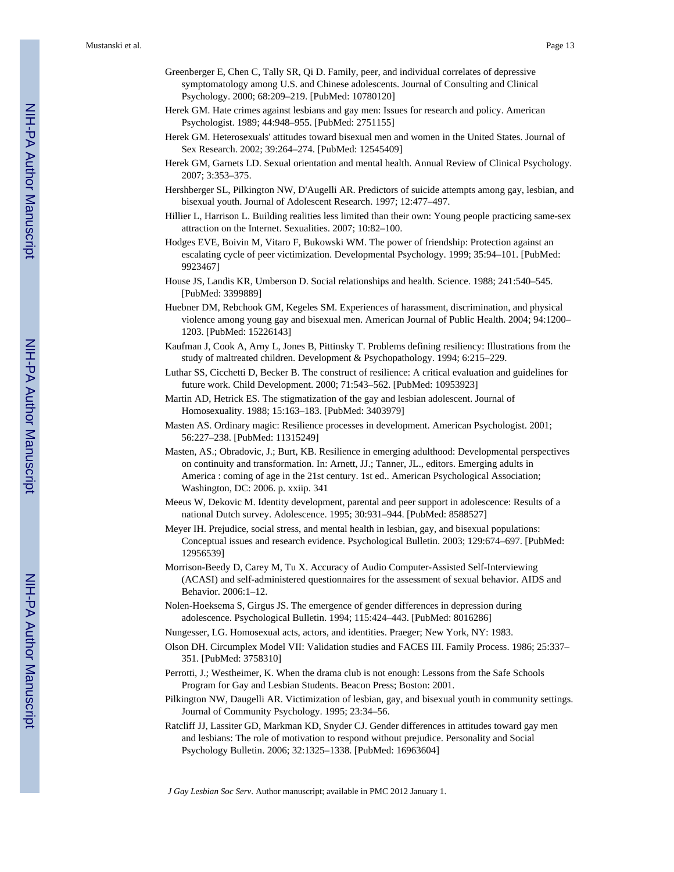- Greenberger E, Chen C, Tally SR, Qi D. Family, peer, and individual correlates of depressive symptomatology among U.S. and Chinese adolescents. Journal of Consulting and Clinical Psychology. 2000; 68:209–219. [PubMed: 10780120]
- Herek GM. Hate crimes against lesbians and gay men: Issues for research and policy. American Psychologist. 1989; 44:948–955. [PubMed: 2751155]
- Herek GM. Heterosexuals' attitudes toward bisexual men and women in the United States. Journal of Sex Research. 2002; 39:264–274. [PubMed: 12545409]
- Herek GM, Garnets LD. Sexual orientation and mental health. Annual Review of Clinical Psychology. 2007; 3:353–375.
- Hershberger SL, Pilkington NW, D'Augelli AR. Predictors of suicide attempts among gay, lesbian, and bisexual youth. Journal of Adolescent Research. 1997; 12:477–497.
- Hillier L, Harrison L. Building realities less limited than their own: Young people practicing same-sex attraction on the Internet. Sexualities. 2007; 10:82–100.
- Hodges EVE, Boivin M, Vitaro F, Bukowski WM. The power of friendship: Protection against an escalating cycle of peer victimization. Developmental Psychology. 1999; 35:94–101. [PubMed: 9923467]
- House JS, Landis KR, Umberson D. Social relationships and health. Science. 1988; 241:540–545. [PubMed: 3399889]
- Huebner DM, Rebchook GM, Kegeles SM. Experiences of harassment, discrimination, and physical violence among young gay and bisexual men. American Journal of Public Health. 2004; 94:1200– 1203. [PubMed: 15226143]
- Kaufman J, Cook A, Arny L, Jones B, Pittinsky T. Problems defining resiliency: Illustrations from the study of maltreated children. Development & Psychopathology. 1994; 6:215–229.
- Luthar SS, Cicchetti D, Becker B. The construct of resilience: A critical evaluation and guidelines for future work. Child Development. 2000; 71:543–562. [PubMed: 10953923]
- Martin AD, Hetrick ES. The stigmatization of the gay and lesbian adolescent. Journal of Homosexuality. 1988; 15:163–183. [PubMed: 3403979]
- Masten AS. Ordinary magic: Resilience processes in development. American Psychologist. 2001; 56:227–238. [PubMed: 11315249]
- Masten, AS.; Obradovic, J.; Burt, KB. Resilience in emerging adulthood: Developmental perspectives on continuity and transformation. In: Arnett, JJ.; Tanner, JL., editors. Emerging adults in America : coming of age in the 21st century. 1st ed.. American Psychological Association; Washington, DC: 2006. p. xxiip. 341
- Meeus W, Dekovic M. Identity development, parental and peer support in adolescence: Results of a national Dutch survey. Adolescence. 1995; 30:931–944. [PubMed: 8588527]
- Meyer IH. Prejudice, social stress, and mental health in lesbian, gay, and bisexual populations: Conceptual issues and research evidence. Psychological Bulletin. 2003; 129:674–697. [PubMed: 12956539]
- Morrison-Beedy D, Carey M, Tu X. Accuracy of Audio Computer-Assisted Self-Interviewing (ACASI) and self-administered questionnaires for the assessment of sexual behavior. AIDS and Behavior. 2006:1–12.
- Nolen-Hoeksema S, Girgus JS. The emergence of gender differences in depression during adolescence. Psychological Bulletin. 1994; 115:424–443. [PubMed: 8016286]
- Nungesser, LG. Homosexual acts, actors, and identities. Praeger; New York, NY: 1983.
- Olson DH. Circumplex Model VII: Validation studies and FACES III. Family Process. 1986; 25:337– 351. [PubMed: 3758310]
- Perrotti, J.; Westheimer, K. When the drama club is not enough: Lessons from the Safe Schools Program for Gay and Lesbian Students. Beacon Press; Boston: 2001.
- Pilkington NW, Daugelli AR. Victimization of lesbian, gay, and bisexual youth in community settings. Journal of Community Psychology. 1995; 23:34–56.
- Ratcliff JJ, Lassiter GD, Markman KD, Snyder CJ. Gender differences in attitudes toward gay men and lesbians: The role of motivation to respond without prejudice. Personality and Social Psychology Bulletin. 2006; 32:1325–1338. [PubMed: 16963604]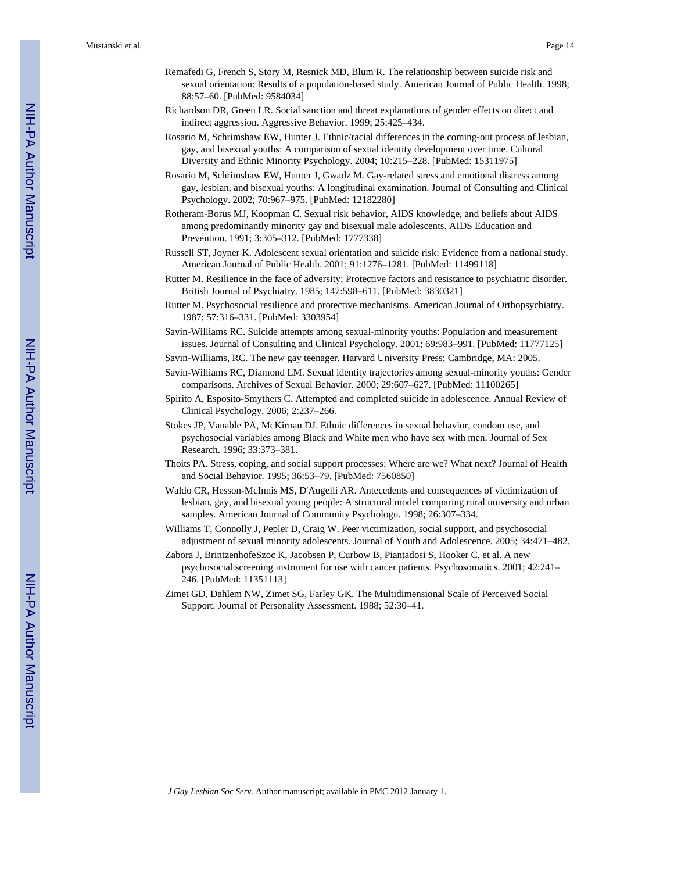- Remafedi G, French S, Story M, Resnick MD, Blum R. The relationship between suicide risk and sexual orientation: Results of a population-based study. American Journal of Public Health. 1998; 88:57–60. [PubMed: 9584034]
- Richardson DR, Green LR. Social sanction and threat explanations of gender effects on direct and indirect aggression. Aggressive Behavior. 1999; 25:425–434.
- Rosario M, Schrimshaw EW, Hunter J. Ethnic/racial differences in the coming-out process of lesbian, gay, and bisexual youths: A comparison of sexual identity development over time. Cultural Diversity and Ethnic Minority Psychology. 2004; 10:215–228. [PubMed: 15311975]
- Rosario M, Schrimshaw EW, Hunter J, Gwadz M. Gay-related stress and emotional distress among gay, lesbian, and bisexual youths: A longitudinal examination. Journal of Consulting and Clinical Psychology. 2002; 70:967–975. [PubMed: 12182280]
- Rotheram-Borus MJ, Koopman C. Sexual risk behavior, AIDS knowledge, and beliefs about AIDS among predominantly minority gay and bisexual male adolescents. AIDS Education and Prevention. 1991; 3:305–312. [PubMed: 1777338]
- Russell ST, Joyner K. Adolescent sexual orientation and suicide risk: Evidence from a national study. American Journal of Public Health. 2001; 91:1276–1281. [PubMed: 11499118]
- Rutter M. Resilience in the face of adversity: Protective factors and resistance to psychiatric disorder. British Journal of Psychiatry. 1985; 147:598–611. [PubMed: 3830321]
- Rutter M. Psychosocial resilience and protective mechanisms. American Journal of Orthopsychiatry. 1987; 57:316–331. [PubMed: 3303954]
- Savin-Williams RC. Suicide attempts among sexual-minority youths: Population and measurement issues. Journal of Consulting and Clinical Psychology. 2001; 69:983–991. [PubMed: 11777125]
- Savin-Williams, RC. The new gay teenager. Harvard University Press; Cambridge, MA: 2005.
- Savin-Williams RC, Diamond LM. Sexual identity trajectories among sexual-minority youths: Gender comparisons. Archives of Sexual Behavior. 2000; 29:607–627. [PubMed: 11100265]
- Spirito A, Esposito-Smythers C. Attempted and completed suicide in adolescence. Annual Review of Clinical Psychology. 2006; 2:237–266.
- Stokes JP, Vanable PA, McKirnan DJ. Ethnic differences in sexual behavior, condom use, and psychosocial variables among Black and White men who have sex with men. Journal of Sex Research. 1996; 33:373–381.
- Thoits PA. Stress, coping, and social support processes: Where are we? What next? Journal of Health and Social Behavior. 1995; 36:53–79. [PubMed: 7560850]
- Waldo CR, Hesson-McInnis MS, D'Augelli AR. Antecedents and consequences of victimization of lesbian, gay, and bisexual young people: A structural model comparing rural university and urban samples. American Journal of Community Psychologu. 1998; 26:307–334.
- Williams T, Connolly J, Pepler D, Craig W. Peer victimization, social support, and psychosocial adjustment of sexual minority adolescents. Journal of Youth and Adolescence. 2005; 34:471–482.
- Zabora J, BrintzenhofeSzoc K, Jacobsen P, Curbow B, Piantadosi S, Hooker C, et al. A new psychosocial screening instrument for use with cancer patients. Psychosomatics. 2001; 42:241– 246. [PubMed: 11351113]
- Zimet GD, Dahlem NW, Zimet SG, Farley GK. The Multidimensional Scale of Perceived Social Support. Journal of Personality Assessment. 1988; 52:30–41.

NIH-PA Author Manuscript

NH-PA Actroscript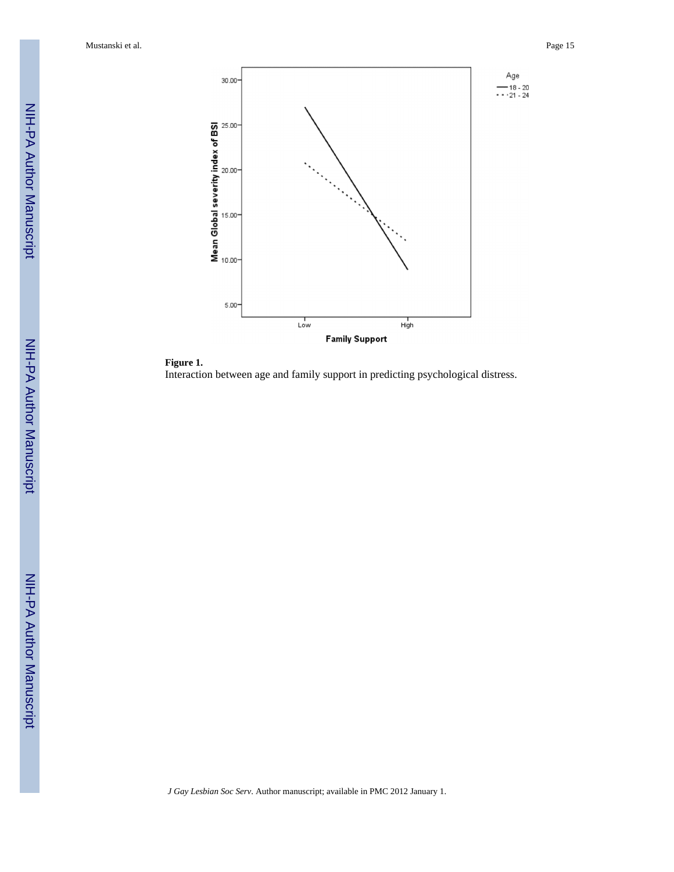Mustanski et al. Page 15



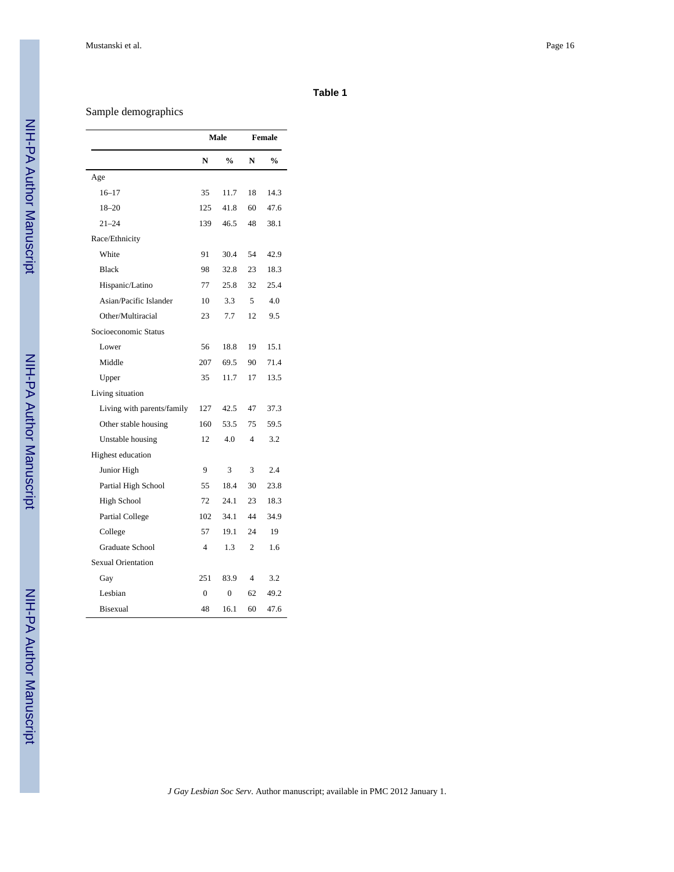#### **Table 1**

# Sample demographics

|                            | Male           |                |                | Female |
|----------------------------|----------------|----------------|----------------|--------|
|                            | N              | $\frac{0}{0}$  | N              | %      |
| Age                        |                |                |                |        |
| $16 - 17$                  | 35             | 11.7           | 18             | 14.3   |
| $18 - 20$                  | 125            | 41.8           | 60             | 47.6   |
| $21 - 24$                  | 139            | 46.5           | 48             | 38.1   |
| Race/Ethnicity             |                |                |                |        |
| White                      | 91             |                | 54             | 42.9   |
| <b>Black</b>               | 32.8<br>98     |                | 23             | 18.3   |
| Hispanic/Latino            | 77<br>25.8     |                | 32             | 25.4   |
| Asian/Pacific Islander     | 3.3<br>10      |                | 5              | 4.0    |
| Other/Multiracial          | 7.7<br>23      |                | 12             | 9.5    |
| Socioeconomic Status       |                |                |                |        |
| Lower                      | 56             | 18.8           | 19             | 15.1   |
| Middle                     | 207            | 69.5           | 90             | 71.4   |
| Upper                      | 35             | 11.7           | 17             | 13.5   |
| Living situation           |                |                |                |        |
| Living with parents/family | 127            | 42.5           | 47             | 37.3   |
| Other stable housing       | 160            | 53.5           | 75             | 59.5   |
| Unstable housing           | 12<br>4.0      |                | 4              | 3.2    |
| Highest education          |                |                |                |        |
| Junior High                | 9              | 3              | 3              | 2.4    |
| Partial High School        | 55             | 18.4           | 30             | 23.8   |
| High School                | 72             | 24.1           | 23             | 18.3   |
| Partial College            | 102            | 34.1           | 44             | 34.9   |
| College                    | 57             | 19.1           | 24             | 19     |
| Graduate School            | $\overline{4}$ | 1.3            | $\overline{2}$ | 1.6    |
| <b>Sexual Orientation</b>  |                |                |                |        |
| Gay                        | 251            | 83.9           | 4              | 3.2    |
| Lesbian                    | $\overline{0}$ | $\overline{0}$ | 62             | 49.2   |
| <b>Bisexual</b>            | 48             | 16.1           | 60             | 47.6   |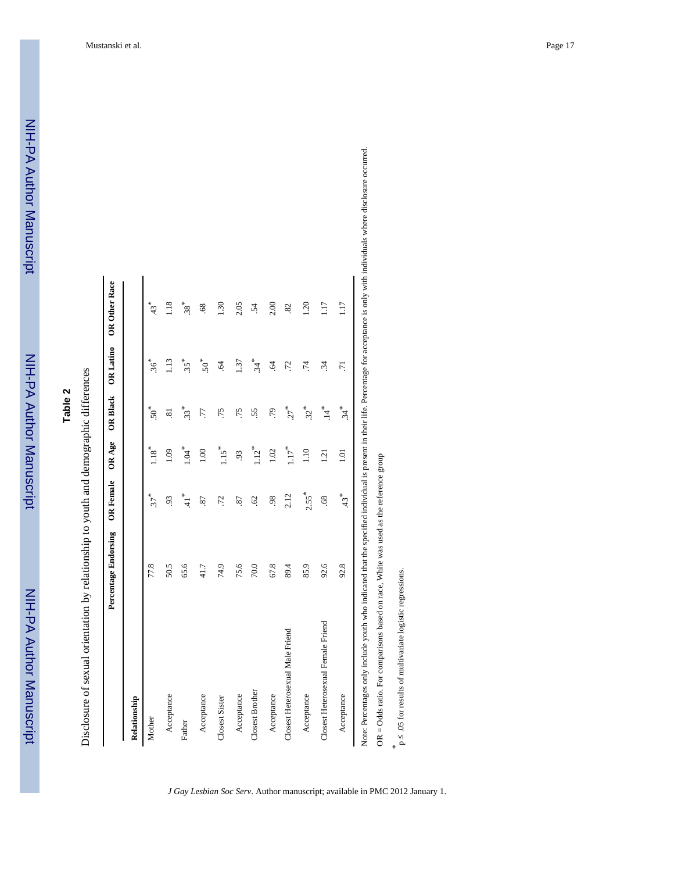NIH-PA Author Manuscript

# **Table 2**

Disclosure of sexual orientation by relationship to youth and demographic differences Disclosure of sexual orientation by relationship to youth and demographic differences

|                                    | Percentage Endorsing | <b>OR Female</b>  | OR Age              |                   |                | OR Black OR Latino OR Other Race |
|------------------------------------|----------------------|-------------------|---------------------|-------------------|----------------|----------------------------------|
| Relationship                       |                      |                   |                     |                   |                |                                  |
| Mother                             | 77.8                 | $37$ <sup>*</sup> | $1.18$ <sup>*</sup> | $50*$             | $36*$          | $43*$                            |
| Acceptance                         | 50.5                 | 93                | 1.09                | ಪ                 | 1.13           | 1.18                             |
| Father                             | 65.6                 | $*$ , 41          | $\ddot{a}$          | $33*$             | $.35*$         | $38^*$                           |
| Acceptance                         | 41.7                 | 22                | 0.001               | L.                | ${50}^*$       | .68                              |
| Closest Sister                     | 74.9                 | 72.               | $1.15*$             | .75               | Ŝ.             | 1.30                             |
| Acceptance                         | 75.6                 | 87                | 93                  | .75               | 1.37           | 2.05                             |
| <b>Closest Brother</b>             | 70.0                 | 62                | $1.12*$             | 55                | $34*$          | -54                              |
| Acceptance                         | 67.8                 | 98                | 1.02                | .79               | $\ddot{q}$     | 2.00                             |
| Closest Heterosexual Male Friend   | 89.4                 | 2.12              | $117*$              | $27$ <sup>*</sup> | .72            | 82                               |
| Acceptance                         | 85.9                 | $2.55*$           | 1.10                | $32*$             | $\ddot{z}$     | 1.20                             |
| Closest Heterosexual Female Friend | 92.6                 | $\overline{68}$   | 1.21                | 14                | $\ddot{34}$    | 1.17                             |
| Acceptance                         | 92.8                 | $43*$             | $\overline{0}$      | $34*$             | $\overline{z}$ | 117                              |

aals where disclosure occurred. Note: Percentages only include youth who indicated that the specified individual is present in their life. Percentage for acceptance is only with individuals where disclosure occurred.

OR = Odds ratio. For comparisons based on race, White was used as the reference group OR = Odds ratio. For comparisons based on race, White was used as the reference group

*J Gay Lesbian Soc Serv*. Author manuscript; available in PMC 2012 January 1.

*\** p ≤ .05 for results of multivariate logistic regressions.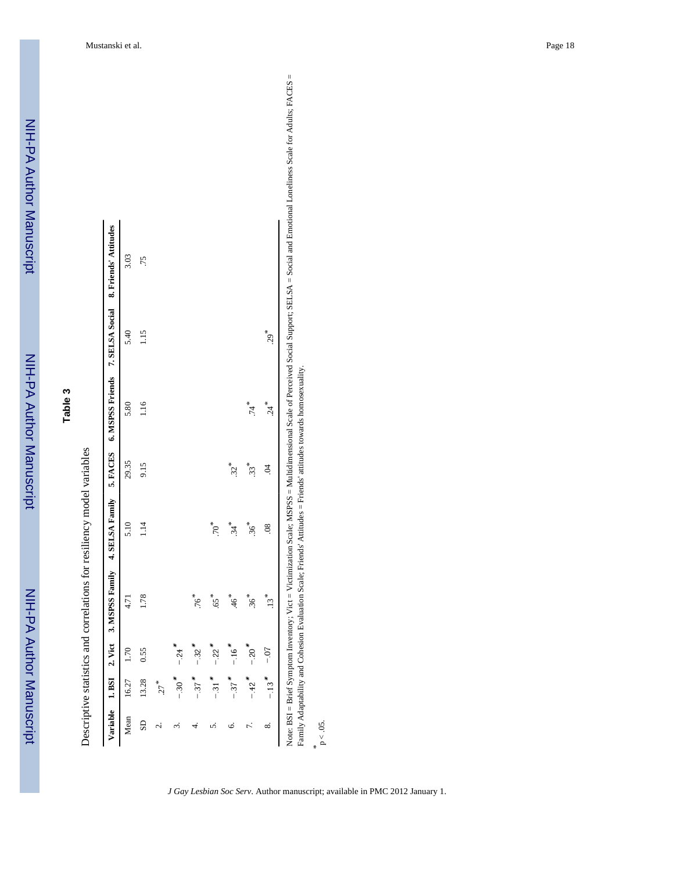| ო      |  |
|--------|--|
| Φ      |  |
|        |  |
| п<br>C |  |
| ł      |  |

|   |               | j           |
|---|---------------|-------------|
|   |               |             |
|   |               |             |
|   |               |             |
|   |               |             |
|   |               |             |
|   | ì             | .<br>.      |
|   |               |             |
|   |               |             |
|   |               |             |
|   | .             |             |
|   |               |             |
|   |               |             |
|   |               |             |
|   |               |             |
|   |               |             |
|   |               |             |
|   |               |             |
|   |               |             |
|   |               |             |
|   |               |             |
|   |               |             |
|   |               |             |
|   |               |             |
|   |               |             |
|   | .<br>.<br>.   |             |
|   |               |             |
|   |               |             |
| j |               |             |
|   |               |             |
|   |               |             |
|   |               |             |
|   |               |             |
|   |               |             |
|   | こうこうこう        |             |
|   |               |             |
|   |               |             |
|   |               |             |
|   |               |             |
|   |               |             |
|   |               |             |
|   |               |             |
|   |               |             |
|   |               |             |
|   |               |             |
|   |               |             |
|   |               |             |
|   |               |             |
|   |               |             |
|   |               |             |
|   |               |             |
|   |               |             |
|   |               |             |
|   |               |             |
|   |               |             |
|   |               |             |
|   |               |             |
|   |               |             |
|   |               |             |
|   |               |             |
|   |               | ;<br>;<br>; |
|   |               |             |
|   |               |             |
|   | Can C         |             |
|   |               |             |
|   |               |             |
|   |               |             |
|   |               |             |
|   |               |             |
|   |               |             |
|   |               |             |
|   |               |             |
|   |               |             |
|   |               |             |
|   |               |             |
|   |               |             |
|   |               |             |
|   |               |             |
|   |               |             |
|   |               |             |
|   | į             |             |
|   |               |             |
|   |               |             |
|   |               |             |
|   |               |             |
|   |               |             |
|   | $\frac{1}{1}$ |             |
|   |               |             |
|   |               |             |
|   |               |             |
|   |               |             |
|   |               |             |
|   |               |             |
|   |               |             |
|   |               |             |
|   |               |             |
|   |               |             |
|   |               |             |
|   |               |             |
|   |               |             |
|   |               |             |
|   |               |             |
|   |               |             |
|   |               |             |
|   |               |             |
|   |               |             |
|   |               |             |
| ļ |               | j           |

|                         |                     |                     |                   |               |       |      |       | Variable 1. BSI 2. Vict 3. MSPSS Family 4. SELSA Family 5. FACES 6. MSPSS Friends 7. SELSA Social 8. Friends' Attitudes |
|-------------------------|---------------------|---------------------|-------------------|---------------|-------|------|-------|-------------------------------------------------------------------------------------------------------------------------|
| Mean                    | 16.27               | 1.70                | 4.71              | 5.10          | 29.35 | 5.80 | 5.40  | 3.03                                                                                                                    |
| $\overline{\mathbf{S}}$ | 13.28               | 0.55                | 1.78              | 1.14          | 9.15  | 1.16 | 1.15  | .75                                                                                                                     |
| نہ                      | $27$ <sup>*</sup>   |                     |                   |               |       |      |       |                                                                                                                         |
| ω.                      | $-.30$ <sup>*</sup> | $-.24$              |                   |               |       |      |       |                                                                                                                         |
|                         | $-.37$ *            | $-.32$ <sup>*</sup> | $76*$             |               |       |      |       |                                                                                                                         |
| n                       | $-.31$ <sup>*</sup> | $-.22$ <sup>*</sup> | $65$ <sup>*</sup> | $70*$         |       |      |       |                                                                                                                         |
| 0.                      | $-.37$ *            | $-.16$ <sup>*</sup> | $46*$             | 34            | $32*$ |      |       |                                                                                                                         |
| 7.                      | $-.42$ <sup>*</sup> | $-0.20$             | $36*$             | $36*$         | 33*   | 74   |       |                                                                                                                         |
| ∞ं                      | $-13$ <sup>*</sup>  | $-0.7$              | $.13*$            | $\frac{8}{3}$ | S     | 24   | $29*$ |                                                                                                                         |

Loneliness Scale for Adults; FACES = Note: BSI = Brief Symptom Inventory; Vict = Victimization Scale; McChinational Scale; MSPSS = Multidimensional Scale; MSPSS = Multidimization Scale; MSPSS = Multis; FACES = Social and Emotional Loneliness Scale for Adults; ŗ Family Adaptability and Cohesion Evaluation Scale; Friends' Attitudes = Friends' attitudes towards homosexuality. Family Adaptability and Cohesion Evaluation Scale; Friends' Attitudes = Friends' attitudes towards homosexuality.

*\** p < .05.